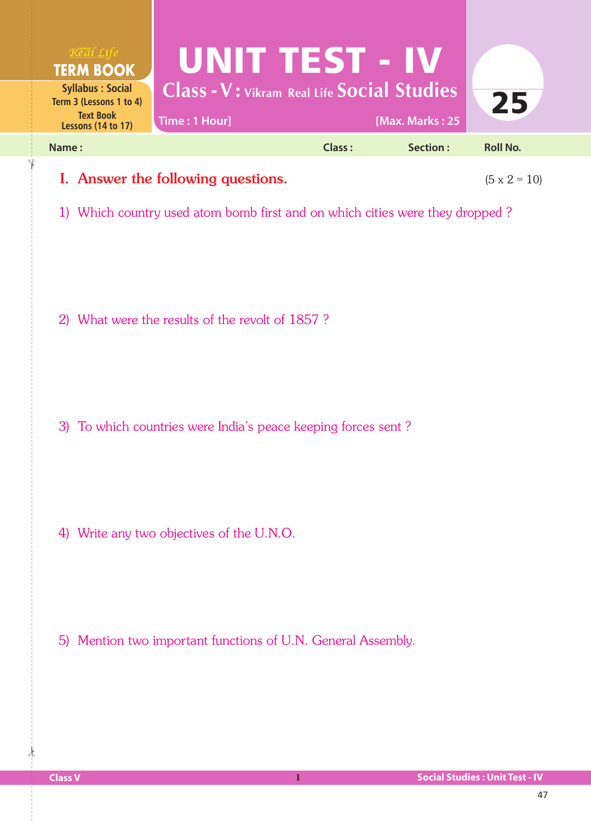

## **I.** Answer the following questions.  $(5 \times 2 = 10)$

1) Which country used atom bomb first and on which cities were they dropped ?

2) What were the results of the revolt of 1857 ?

3) To which countries were India's peace keeping forces sent ?

4) Write any two objectives of the U.N.O.

5) Mention two important functions of U.N. General Assembly.

 $\frac{1}{2}$ 

✁